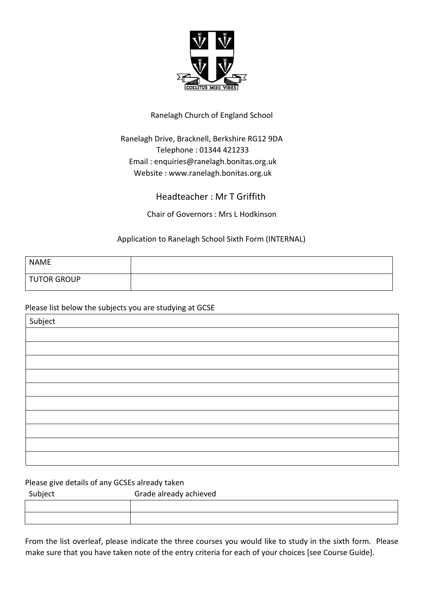

### Ranelagh Church of England School

# Ranelagh Drive, Bracknell, Berkshire RG12 9DA Telephone : 01344 421233 Email : enquiries@ranelagh.bonitas.org.uk Website : www.ranelagh.bonitas.org.uk

# Headteacher : Mr T Griffith

Chair of Governors : Mrs L Hodkinson

### Application to Ranelagh School Sixth Form (INTERNAL)

| <b>NAME</b> |  |
|-------------|--|
| TUTOR GROUP |  |

#### Please list below the subjects you are studying at GCSE

| Subject |  |
|---------|--|
|         |  |
|         |  |
|         |  |
|         |  |
|         |  |
|         |  |
|         |  |
|         |  |
|         |  |
|         |  |

Please give details of any GCSEs already taken

| Subject | Grade already achieved |
|---------|------------------------|
|         |                        |
|         |                        |

From the list overleaf, please indicate the three courses you would like to study in the sixth form. Please make sure that you have taken note of the entry criteria for each of your choices [see Course Guide].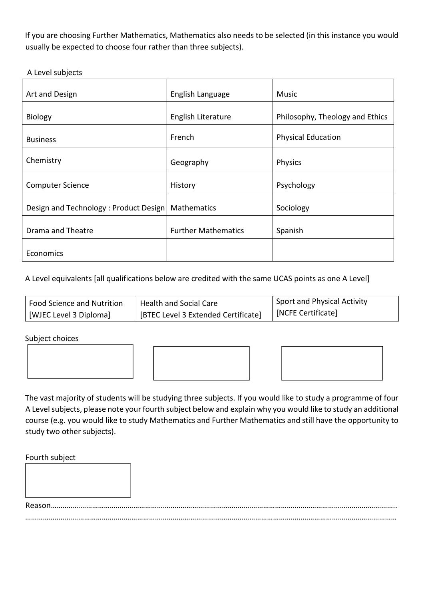If you are choosing Further Mathematics, Mathematics also needs to be selected (in this instance you would usually be expected to choose four rather than three subjects).

A Level subjects

| Art and Design                        | English Language           | Music                           |
|---------------------------------------|----------------------------|---------------------------------|
| Biology                               | English Literature         | Philosophy, Theology and Ethics |
| <b>Business</b>                       | French                     | <b>Physical Education</b>       |
| Chemistry                             | Geography                  | Physics                         |
| <b>Computer Science</b>               | History                    | Psychology                      |
| Design and Technology: Product Design | Mathematics                | Sociology                       |
| Drama and Theatre                     | <b>Further Mathematics</b> | Spanish                         |
| Economics                             |                            |                                 |

A Level equivalents [all qualifications below are credited with the same UCAS points as one A Level]

| <b>Food Science and Nutrition</b> | <b>Health and Social Care</b>       | Sport and Physical Activity |
|-----------------------------------|-------------------------------------|-----------------------------|
| [WJEC Level 3 Diploma]            | [BTEC Level 3 Extended Certificate] | [NCFE Certificate]          |

Subject choices





The vast majority of students will be studying three subjects. If you would like to study a programme of four A Level subjects, please note your fourth subject below and explain why you would like to study an additional course (e.g. you would like to study Mathematics and Further Mathematics and still have the opportunity to study two other subjects).

Fourth subject

| . |
|---|
|   |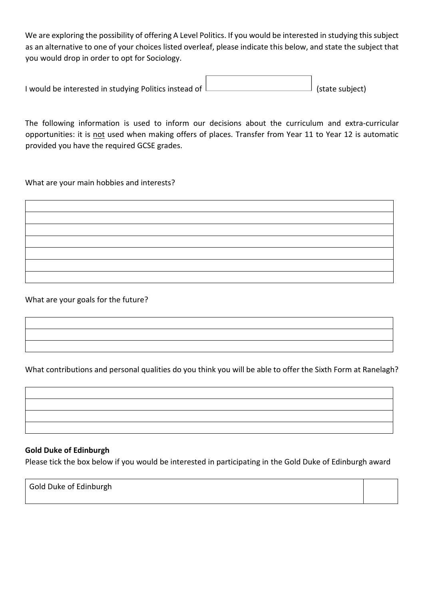We are exploring the possibility of offering A Level Politics. If you would be interested in studying this subject as an alternative to one of your choices listed overleaf, please indicate this below, and state the subject that you would drop in order to opt for Sociology.

| (state subject) |
|-----------------|
|                 |

The following information is used to inform our decisions about the curriculum and extra-curricular opportunities: it is not used when making offers of places. Transfer from Year 11 to Year 12 is automatic provided you have the required GCSE grades.

What are your main hobbies and interests?

What are your goals for the future?

What contributions and personal qualities do you think you will be able to offer the Sixth Form at Ranelagh?

#### **Gold Duke of Edinburgh**

Please tick the box below if you would be interested in participating in the Gold Duke of Edinburgh award

Gold Duke of Edinburgh